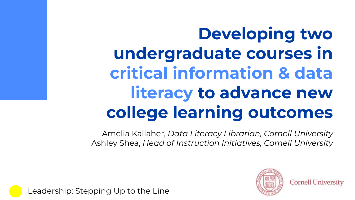# **Developing two undergraduate courses in critical information & data literacy to advance new college learning outcomes**

Amelia Kallaher, *Data Literacy Librarian, Cornell University* Ashley Shea, *Head of Instruction Initiatives, Cornell University*



**Cornell University** 

Leadership: Stepping Up to the Line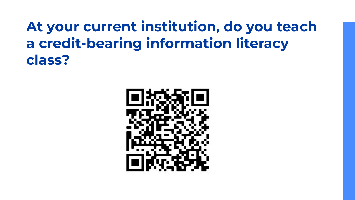### **At your current institution, do you teach a credit-bearing information literacy class?**

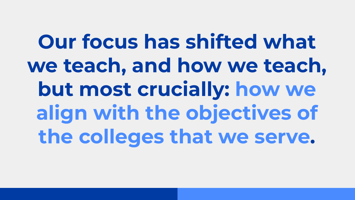**Our focus has shifted what we teach, and how we teach, but most crucially: how we align with the objectives of the colleges that we serve.**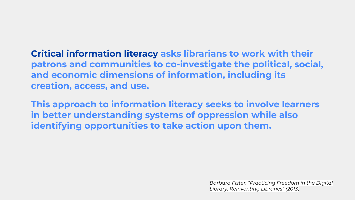**Critical information literacy asks librarians to work with their patrons and communities to co-investigate the political, social, and economic dimensions of information, including its creation, access, and use.** 

**This approach to information literacy seeks to involve learners in better understanding systems of oppression while also identifying opportunities to take action upon them.** 

> *Barbara Fister, "Practicing Freedom in the Digital Library: Reinventing Libraries" (2013)*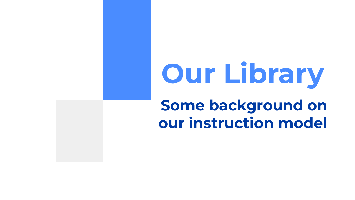# **Some background on our instruction model Our Library**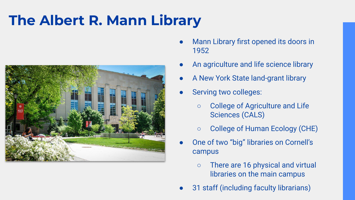## **The Albert R. Mann Library**



- Mann Library first opened its doors in 1952
- An agriculture and life science library
- A New York State land-grant library
- Serving two colleges:
	- College of Agriculture and Life Sciences (CALS)
	- College of Human Ecology (CHE)
- One of two "big" libraries on Cornell's campus
	- There are 16 physical and virtual libraries on the main campus
- 31 staff (including faculty librarians)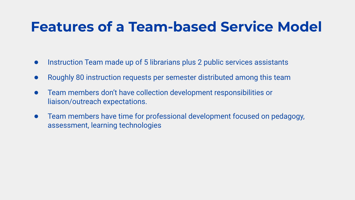#### **Features of a Team-based Service Model**

- Instruction Team made up of 5 librarians plus 2 public services assistants
- Roughly 80 instruction requests per semester distributed among this team
- Team members don't have collection development responsibilities or liaison/outreach expectations.
- Team members have time for professional development focused on pedagogy, assessment, learning technologies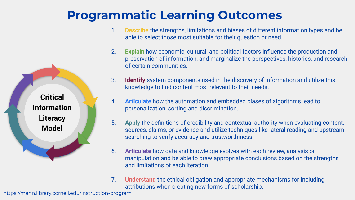

#### **Programmatic Learning Outcomes**

- 1. **Describe** the strengths, limitations and biases of different information types and be able to select those most suitable for their question or need.
- 2. **Explain** how economic, cultural, and political factors influence the production and preservation of information, and marginalize the perspectives, histories, and research of certain communities.
- 3. **Identify** system components used in the discovery of information and utilize this knowledge to find content most relevant to their needs.
- 4. **Articulate** how the automation and embedded biases of algorithms lead to personalization, sorting and discrimination.
- 5. **Apply** the definitions of credibility and contextual authority when evaluating content, sources, claims, or evidence and utilize techniques like lateral reading and upstream searching to verify accuracy and trustworthiness.
- 6. **Articulate** how data and knowledge evolves with each review, analysis or manipulation and be able to draw appropriate conclusions based on the strengths and limitations of each iteration.
- 7. **Understand** the ethical obligation and appropriate mechanisms for including attributions when creating new forms of scholarship.

<https://mann.library.cornell.edu/instruction-program>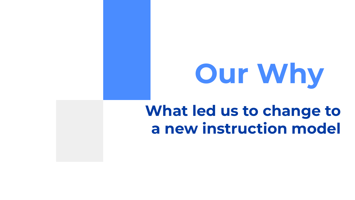# **Our Why**

### **What led us to change to a new instruction model**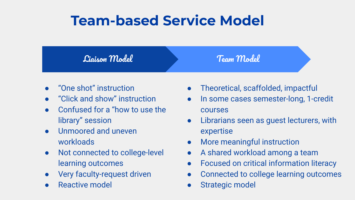#### **Team-based Service Model**

Liaison Model

Team Model

- "One shot" instruction
- "Click and show" instruction
- Confused for a "how to use the library" session
- Unmoored and uneven workloads
- Not connected to college-level learning outcomes
- Very faculty-request driven
- Reactive model
- Theoretical, scaffolded, impactful
- In some cases semester-long, 1-credit courses
- Librarians seen as guest lecturers, with expertise
- More meaningful instruction
- A shared workload among a team
- Focused on critical information literacy
- Connected to college learning outcomes
- Strategic model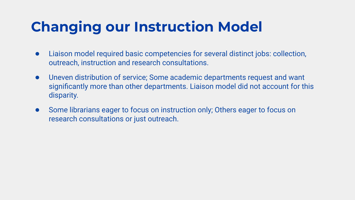### **Changing our Instruction Model**

- Liaison model required basic competencies for several distinct jobs: collection, outreach, instruction and research consultations.
- Uneven distribution of service; Some academic departments request and want significantly more than other departments. Liaison model did not account for this disparity.
- Some librarians eager to focus on instruction only; Others eager to focus on research consultations or just outreach.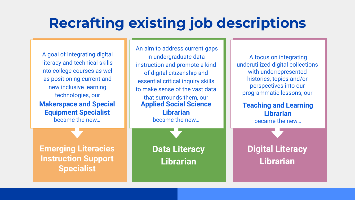#### **Recrafting existing job descriptions**

A goal of integrating digital literacy and technical skills into college courses as well as positioning current and new inclusive learning technologies, our **Makerspace and Special Equipment Specialist** became the new…

An aim to address current gaps in undergraduate data instruction and promote a kind of digital citizenship and essential critical inquiry skills to make sense of the vast data that surrounds them, our **Applied Social Science Librarian** became the new…

**Emerging Literacies Instruction Support Specialist**

**Data Literacy Librarian**

A focus on integrating underutilized digital collections with underrepresented histories, topics and/or perspectives into our programmatic lessons, our

**Teaching and Learning Librarian** became the new…

#### **Digital Literacy Librarian**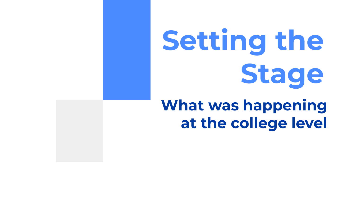# **Setting the Stage**

## **What was happening at the college level**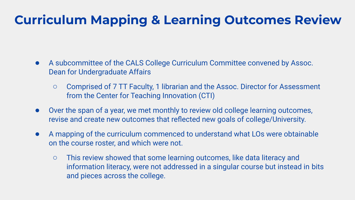#### **Curriculum Mapping & Learning Outcomes Review**

- A subcommittee of the CALS College Curriculum Committee convened by Assoc. Dean for Undergraduate Affairs
	- Comprised of 7 TT Faculty, 1 librarian and the Assoc. Director for Assessment from the Center for Teaching Innovation (CTI)
- Over the span of a year, we met monthly to review old college learning outcomes, revise and create new outcomes that reflected new goals of college/University.
- A mapping of the curriculum commenced to understand what LOs were obtainable on the course roster, and which were not.
	- This review showed that some learning outcomes, like data literacy and information literacy, were not addressed in a singular course but instead in bits and pieces across the college.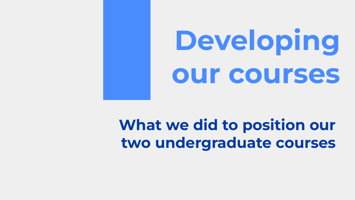# **Developing our courses**

## **What we did to position our two undergraduate courses**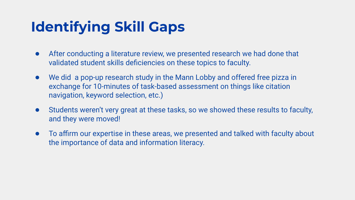## **Identifying Skill Gaps**

- After conducting a literature review, we presented research we had done that validated student skills deficiencies on these topics to faculty.
- We did a pop-up research study in the Mann Lobby and offered free pizza in exchange for 10-minutes of task-based assessment on things like citation navigation, keyword selection, etc.)
- Students weren't very great at these tasks, so we showed these results to faculty, and they were moved!
- To affirm our expertise in these areas, we presented and talked with faculty about the importance of data and information literacy.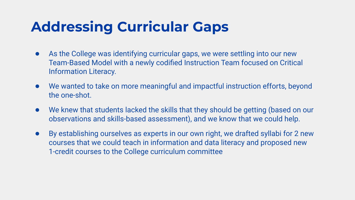#### **Addressing Curricular Gaps**

- As the College was identifying curricular gaps, we were settling into our new Team-Based Model with a newly codified Instruction Team focused on Critical Information Literacy.
- We wanted to take on more meaningful and impactful instruction efforts, beyond the one-shot.
- We knew that students lacked the skills that they should be getting (based on our observations and skills-based assessment), and we know that we could help.
- By establishing ourselves as experts in our own right, we drafted syllabi for 2 new courses that we could teach in information and data literacy and proposed new 1-credit courses to the College curriculum committee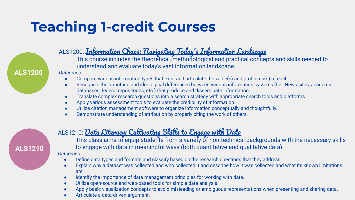## **Teaching 1-credit Courses**



**ALS1210**

#### ALS1200: [Information Chaos: Navigating Today](https://classes.cornell.edu/browse/roster/SP21/class/ALS/1200)'s Information Landscape

This course includes the theoretical, methodological and practical concepts and skills needed to understand and evaluate today's vast information landscape.

#### *Outcomes:*

- Compare various information types that exist and articulate the value(s) and problems(s) of each.
- Recognize the structural and ideological differences between various information systems (I.e., News sites, academic databases, federal repositories, etc.) that produce and disseminate information.
- Translate complex research questions into a search strategy with appropriate search tools and platforms.
- Apply various assessment tools to evaluate the credibility of information.
- Utilize citation management software to organize information conceptually and thoughtfully.
- Demonstrate understanding of attribution by properly citing the work of others.

#### ALS1210: <mark>[Data Literacy: Cultivating Skills to Engage with Data](https://classes.cornell.edu/browse/roster/FA21/class/ALS/1210)</mark>

This class aims to equip students from a variety of non-technical backgrounds with the necessary skills to engage with data in meaningful ways (both quantitative and qualitative data).

#### *Outcomes:*

- Define data types and formats and classify based on the research questions that they address.
- Explain why a dataset was collected and who collected it and describe how it was collected and what its known limitations are.
- Identify the importance of data management principles for working with data.
- Utilize open-source and web-based tools for simple data analysis.
- Apply basic visualization concepts to avoid misleading or ambiguous representations when presenting and sharing data.
- Articulate a data-driven argument.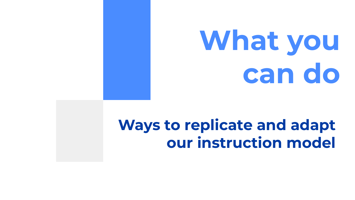# **What you can do**

## **Ways to replicate and adapt our instruction model**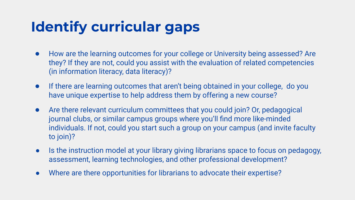## **Identify curricular gaps**

- How are the learning outcomes for your college or University being assessed? Are they? If they are not, could you assist with the evaluation of related competencies (in information literacy, data literacy)?
- If there are learning outcomes that aren't being obtained in your college, do you have unique expertise to help address them by offering a new course?
- Are there relevant curriculum committees that you could join? Or, pedagogical journal clubs, or similar campus groups where you'll find more like-minded individuals. If not, could you start such a group on your campus (and invite faculty to join)?
- Is the instruction model at your library giving librarians space to focus on pedagogy, assessment, learning technologies, and other professional development?
- Where are there opportunities for librarians to advocate their expertise?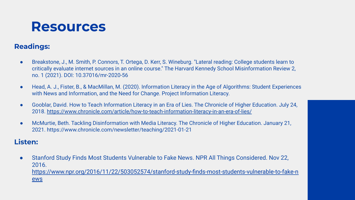#### **Resources**

#### **Readings:**

- Breakstone, J., M. Smith, P. Connors, T. Ortega, D. Kerr, S. Wineburg. "Lateral reading: College students learn to critically evaluate internet sources in an online course." The Harvard Kennedy School Misinformation Review 2, no. 1 (2021). DOI: 10.37016/mr-2020-56
- Head, A. J., Fister, B., & MacMillan, M. (2020). Information Literacy in the Age of Algorithms: Student Experiences with News and Information, and the Need for Change. Project Information Literacy.
- Gooblar, David. How to Teach Information Literacy in an Era of Lies. The Chronicle of Higher Education. July 24, 2018.<https://www.chronicle.com/article/how-to-teach-information-literacy-in-an-era-of-lies/>
- McMurtie, Beth. Tackling Disinformation with Media Literacy. The Chronicle of Higher Education. January 21, 2021. https://www.chronicle.com/newsletter/teaching/2021-01-21

#### **Listen:**

● Stanford Study Finds Most Students Vulnerable to Fake News. NPR All Things Considered. Nov 22, 2016. [https://www.npr.org/2016/11/22/503052574/stanford-study-finds-most-students-vulnerable-to-fake-n](https://www.npr.org/2016/11/22/503052574/stanford-study-finds-most-students-vulnerable-to-fake-news) [ews](https://www.npr.org/2016/11/22/503052574/stanford-study-finds-most-students-vulnerable-to-fake-news)